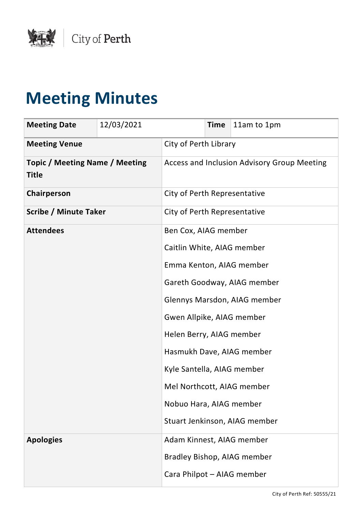

## **Meeting Minutes**

| <b>Meeting Date</b>                                   | 12/03/2021 |                              | <b>Time</b> | 11am to 1pm                                 |
|-------------------------------------------------------|------------|------------------------------|-------------|---------------------------------------------|
| <b>Meeting Venue</b>                                  |            | City of Perth Library        |             |                                             |
| <b>Topic / Meeting Name / Meeting</b><br><b>Title</b> |            |                              |             | Access and Inclusion Advisory Group Meeting |
| Chairperson                                           |            | City of Perth Representative |             |                                             |
| <b>Scribe / Minute Taker</b>                          |            | City of Perth Representative |             |                                             |
| <b>Attendees</b>                                      |            | Ben Cox, AIAG member         |             |                                             |
|                                                       |            | Caitlin White, AIAG member   |             |                                             |
|                                                       |            | Emma Kenton, AIAG member     |             |                                             |
|                                                       |            |                              |             | Gareth Goodway, AIAG member                 |
|                                                       |            |                              |             | Glennys Marsdon, AIAG member                |
|                                                       |            | Gwen Allpike, AIAG member    |             |                                             |
|                                                       |            | Helen Berry, AIAG member     |             |                                             |
|                                                       |            |                              |             | Hasmukh Dave, AIAG member                   |
|                                                       |            | Kyle Santella, AIAG member   |             |                                             |
|                                                       |            | Mel Northcott, AIAG member   |             |                                             |
|                                                       |            | Nobuo Hara, AIAG member      |             |                                             |
|                                                       |            |                              |             | Stuart Jenkinson, AIAG member               |
| <b>Apologies</b>                                      |            | Adam Kinnest, AIAG member    |             |                                             |
|                                                       |            |                              |             | Bradley Bishop, AIAG member                 |
|                                                       |            | Cara Philpot - AIAG member   |             |                                             |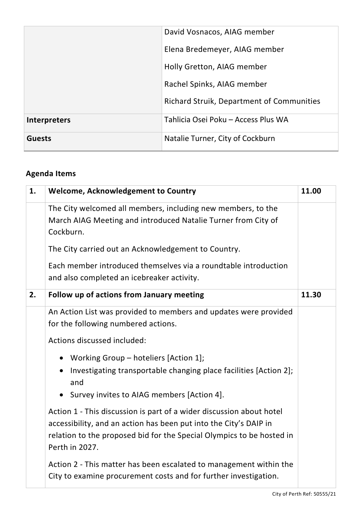|                     | David Vosnacos, AIAG member                      |
|---------------------|--------------------------------------------------|
|                     | Elena Bredemeyer, AIAG member                    |
|                     | Holly Gretton, AIAG member                       |
|                     | Rachel Spinks, AIAG member                       |
|                     | <b>Richard Struik, Department of Communities</b> |
| <b>Interpreters</b> | Tahlicia Osei Poku - Access Plus WA              |
| <b>Guests</b>       | Natalie Turner, City of Cockburn                 |

## **Agenda Items**

| 1. | <b>Welcome, Acknowledgement to Country</b>                                                                                                                                                                                           | 11.00 |
|----|--------------------------------------------------------------------------------------------------------------------------------------------------------------------------------------------------------------------------------------|-------|
|    | The City welcomed all members, including new members, to the<br>March AIAG Meeting and introduced Natalie Turner from City of<br>Cockburn.                                                                                           |       |
|    | The City carried out an Acknowledgement to Country.                                                                                                                                                                                  |       |
|    | Each member introduced themselves via a roundtable introduction<br>and also completed an icebreaker activity.                                                                                                                        |       |
| 2. | Follow up of actions from January meeting                                                                                                                                                                                            | 11.30 |
|    | An Action List was provided to members and updates were provided<br>for the following numbered actions.                                                                                                                              |       |
|    | Actions discussed included:                                                                                                                                                                                                          |       |
|    | • Working Group - hoteliers [Action 1];<br>Investigating transportable changing place facilities [Action 2];<br>$\bullet$<br>and<br>• Survey invites to AIAG members [Action 4].                                                     |       |
|    |                                                                                                                                                                                                                                      |       |
|    | Action 1 - This discussion is part of a wider discussion about hotel<br>accessibility, and an action has been put into the City's DAIP in<br>relation to the proposed bid for the Special Olympics to be hosted in<br>Perth in 2027. |       |
|    | Action 2 - This matter has been escalated to management within the<br>City to examine procurement costs and for further investigation.                                                                                               |       |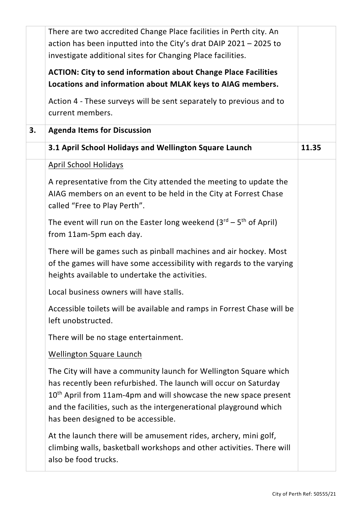|    | There are two accredited Change Place facilities in Perth city. An                                                                                                                                                                                                                                                                 |       |
|----|------------------------------------------------------------------------------------------------------------------------------------------------------------------------------------------------------------------------------------------------------------------------------------------------------------------------------------|-------|
|    | action has been inputted into the City's drat DAIP 2021 - 2025 to                                                                                                                                                                                                                                                                  |       |
|    | investigate additional sites for Changing Place facilities.                                                                                                                                                                                                                                                                        |       |
|    | <b>ACTION: City to send information about Change Place Facilities</b>                                                                                                                                                                                                                                                              |       |
|    | Locations and information about MLAK keys to AIAG members.                                                                                                                                                                                                                                                                         |       |
|    | Action 4 - These surveys will be sent separately to previous and to<br>current members.                                                                                                                                                                                                                                            |       |
| 3. | <b>Agenda Items for Discussion</b>                                                                                                                                                                                                                                                                                                 |       |
|    | 3.1 April School Holidays and Wellington Square Launch                                                                                                                                                                                                                                                                             | 11.35 |
|    | <b>April School Holidays</b>                                                                                                                                                                                                                                                                                                       |       |
|    | A representative from the City attended the meeting to update the<br>AIAG members on an event to be held in the City at Forrest Chase<br>called "Free to Play Perth".                                                                                                                                                              |       |
|    | The event will run on the Easter long weekend $(3^{rd} – 5^{th}$ of April)<br>from 11am-5pm each day.                                                                                                                                                                                                                              |       |
|    | There will be games such as pinball machines and air hockey. Most<br>of the games will have some accessibility with regards to the varying<br>heights available to undertake the activities.                                                                                                                                       |       |
|    | Local business owners will have stalls.                                                                                                                                                                                                                                                                                            |       |
|    | Accessible toilets will be available and ramps in Forrest Chase will be<br>left unobstructed.                                                                                                                                                                                                                                      |       |
|    | There will be no stage entertainment.                                                                                                                                                                                                                                                                                              |       |
|    | <b>Wellington Square Launch</b>                                                                                                                                                                                                                                                                                                    |       |
|    | The City will have a community launch for Wellington Square which<br>has recently been refurbished. The launch will occur on Saturday<br>10 <sup>th</sup> April from 11am-4pm and will showcase the new space present<br>and the facilities, such as the intergenerational playground which<br>has been designed to be accessible. |       |
|    | At the launch there will be amusement rides, archery, mini golf,<br>climbing walls, basketball workshops and other activities. There will<br>also be food trucks.                                                                                                                                                                  |       |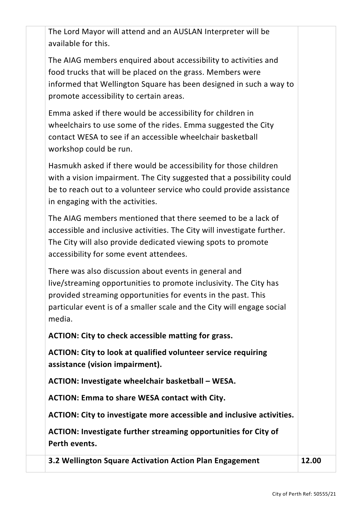The Lord Mayor will attend and an AUSLAN Interpreter will be available for this.

The AIAG members enquired about accessibility to activities and food trucks that will be placed on the grass. Members were informed that Wellington Square has been designed in such a way to promote accessibility to certain areas.

Emma asked if there would be accessibility for children in wheelchairs to use some of the rides. Emma suggested the City contact WESA to see if an accessible wheelchair basketball workshop could be run.

Hasmukh asked if there would be accessibility for those children with a vision impairment. The City suggested that a possibility could be to reach out to a volunteer service who could provide assistance in engaging with the activities.

The AIAG members mentioned that there seemed to be a lack of accessible and inclusive activities. The City will investigate further. The City will also provide dedicated viewing spots to promote accessibility for some event attendees.

There was also discussion about events in general and live/streaming opportunities to promote inclusivity. The City has provided streaming opportunities for events in the past. This particular event is of a smaller scale and the City will engage social media.

**ACTION: City to check accessible matting for grass.**

**ACTION: City to look at qualified volunteer service requiring assistance (vision impairment).** 

**ACTION: Investigate wheelchair basketball – WESA.**

**ACTION: Emma to share WESA contact with City.**

**ACTION: City to investigate more accessible and inclusive activities.**

**ACTION: Investigate further streaming opportunities for City of Perth events.**

**3.2 Wellington Square Activation Action Plan Engagement 12.00**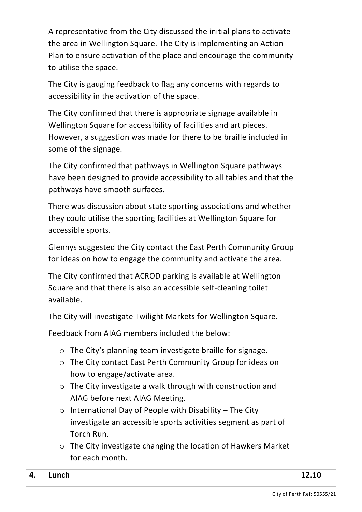A representative from the City discussed the initial plans to activate the area in Wellington Square. The City is implementing an Action Plan to ensure activation of the place and encourage the community to utilise the space.

The City is gauging feedback to flag any concerns with regards to accessibility in the activation of the space.

The City confirmed that there is appropriate signage available in Wellington Square for accessibility of facilities and art pieces. However, a suggestion was made for there to be braille included in some of the signage.

The City confirmed that pathways in Wellington Square pathways have been designed to provide accessibility to all tables and that the pathways have smooth surfaces.

There was discussion about state sporting associations and whether they could utilise the sporting facilities at Wellington Square for accessible sports.

Glennys suggested the City contact the East Perth Community Group for ideas on how to engage the community and activate the area.

The City confirmed that ACROD parking is available at Wellington Square and that there is also an accessible self-cleaning toilet available.

The City will investigate Twilight Markets for Wellington Square.

Feedback from AIAG members included the below:

- o The City's planning team investigate braille for signage.
- o The City contact East Perth Community Group for ideas on how to engage/activate area.
- o The City investigate a walk through with construction and AIAG before next AIAG Meeting.
- $\circ$  International Day of People with Disability The City investigate an accessible sports activities segment as part of Torch Run.
- o The City investigate changing the location of Hawkers Market for each month.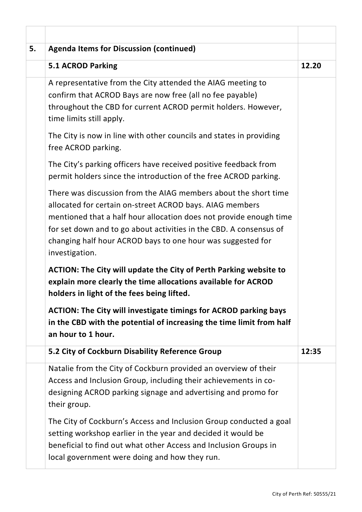| 5. | <b>Agenda Items for Discussion (continued)</b>                                                                                                                                                                                                                                                                                                           |       |
|----|----------------------------------------------------------------------------------------------------------------------------------------------------------------------------------------------------------------------------------------------------------------------------------------------------------------------------------------------------------|-------|
|    | 5.1 ACROD Parking                                                                                                                                                                                                                                                                                                                                        | 12.20 |
|    | A representative from the City attended the AIAG meeting to<br>confirm that ACROD Bays are now free (all no fee payable)<br>throughout the CBD for current ACROD permit holders. However,<br>time limits still apply.                                                                                                                                    |       |
|    | The City is now in line with other councils and states in providing<br>free ACROD parking.                                                                                                                                                                                                                                                               |       |
|    | The City's parking officers have received positive feedback from<br>permit holders since the introduction of the free ACROD parking.                                                                                                                                                                                                                     |       |
|    | There was discussion from the AIAG members about the short time<br>allocated for certain on-street ACROD bays. AIAG members<br>mentioned that a half hour allocation does not provide enough time<br>for set down and to go about activities in the CBD. A consensus of<br>changing half hour ACROD bays to one hour was suggested for<br>investigation. |       |
|    | ACTION: The City will update the City of Perth Parking website to<br>explain more clearly the time allocations available for ACROD<br>holders in light of the fees being lifted.                                                                                                                                                                         |       |
|    | <b>ACTION: The City will investigate timings for ACROD parking bays</b><br>in the CBD with the potential of increasing the time limit from half<br>an hour to 1 hour.                                                                                                                                                                                    |       |
|    | 5.2 City of Cockburn Disability Reference Group                                                                                                                                                                                                                                                                                                          | 12:35 |
|    | Natalie from the City of Cockburn provided an overview of their<br>Access and Inclusion Group, including their achievements in co-<br>designing ACROD parking signage and advertising and promo for<br>their group.                                                                                                                                      |       |
|    | The City of Cockburn's Access and Inclusion Group conducted a goal<br>setting workshop earlier in the year and decided it would be<br>beneficial to find out what other Access and Inclusion Groups in<br>local government were doing and how they run.                                                                                                  |       |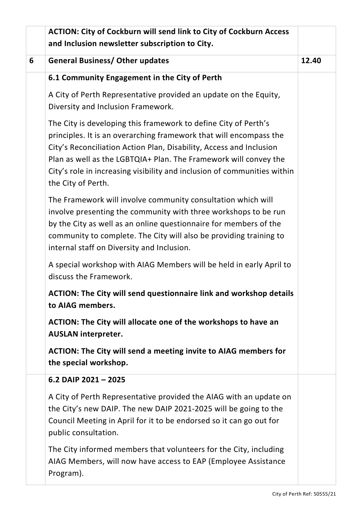|   | <b>ACTION: City of Cockburn will send link to City of Cockburn Access</b>                                                                                                                                                                                                                                                                                                          |  |  |
|---|------------------------------------------------------------------------------------------------------------------------------------------------------------------------------------------------------------------------------------------------------------------------------------------------------------------------------------------------------------------------------------|--|--|
|   | and Inclusion newsletter subscription to City.                                                                                                                                                                                                                                                                                                                                     |  |  |
| 6 | <b>General Business/ Other updates</b>                                                                                                                                                                                                                                                                                                                                             |  |  |
|   | 6.1 Community Engagement in the City of Perth                                                                                                                                                                                                                                                                                                                                      |  |  |
|   | A City of Perth Representative provided an update on the Equity,<br>Diversity and Inclusion Framework.                                                                                                                                                                                                                                                                             |  |  |
|   | The City is developing this framework to define City of Perth's<br>principles. It is an overarching framework that will encompass the<br>City's Reconciliation Action Plan, Disability, Access and Inclusion<br>Plan as well as the LGBTQIA+ Plan. The Framework will convey the<br>City's role in increasing visibility and inclusion of communities within<br>the City of Perth. |  |  |
|   | The Framework will involve community consultation which will<br>involve presenting the community with three workshops to be run<br>by the City as well as an online questionnaire for members of the<br>community to complete. The City will also be providing training to<br>internal staff on Diversity and Inclusion.                                                           |  |  |
|   | A special workshop with AIAG Members will be held in early April to<br>discuss the Framework.                                                                                                                                                                                                                                                                                      |  |  |
|   | <b>ACTION: The City will send questionnaire link and workshop details</b><br>to AIAG members.                                                                                                                                                                                                                                                                                      |  |  |
|   | ACTION: The City will allocate one of the workshops to have an<br><b>AUSLAN interpreter.</b>                                                                                                                                                                                                                                                                                       |  |  |
|   | ACTION: The City will send a meeting invite to AIAG members for<br>the special workshop.                                                                                                                                                                                                                                                                                           |  |  |
|   | 6.2 DAIP $2021 - 2025$                                                                                                                                                                                                                                                                                                                                                             |  |  |
|   | A City of Perth Representative provided the AIAG with an update on<br>the City's new DAIP. The new DAIP 2021-2025 will be going to the<br>Council Meeting in April for it to be endorsed so it can go out for<br>public consultation.                                                                                                                                              |  |  |
|   | The City informed members that volunteers for the City, including<br>AIAG Members, will now have access to EAP (Employee Assistance<br>Program).                                                                                                                                                                                                                                   |  |  |